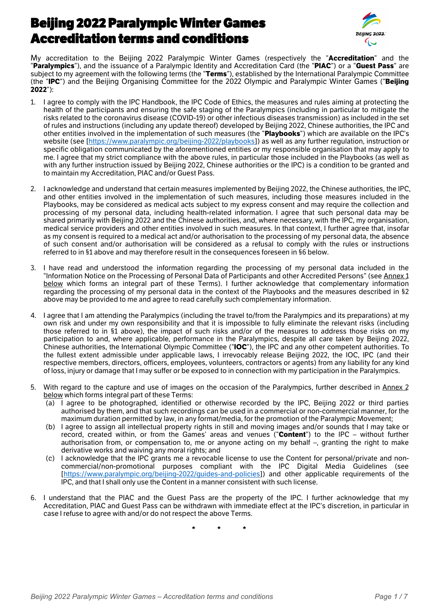# Beijing 2022 Paralympic Winter Games Accreditation terms and conditions



My accreditation to the Beijing 2022 Paralympic Winter Games (respectively the "**Accreditation**" and the "**Paralympics**"), and the issuance of a Paralympic Identity and Accreditation Card (the "**PIAC**")or a "**Guest Pass**" are subject to my agreement with the following terms (the "**Terms**"), established by the International Paralympic Committee (the "**IPC**") and the Beijing Organising Committee for the 2022 Olympic and Paralympic Winter Games ("**Beijing 2022**"):

- 1. I agree to comply with the IPC Handbook, the IPC Code of Ethics, the measures and rules aiming at protecting the health of the participants and ensuring the safe staging of the Paralympics (including in particular to mitigate the risks related to the coronavirus disease (COVID-19) or other infectious diseases transmission) as included in the set of rules and instructions (including any update thereof) developed by Beijing 2022, Chinese authorities, the IPC and other entities involved in the implementation of such measures (the "**Playbooks**") which are available on the IPC's website (see [\[https://www.paralympic.org/beijing-2022/playbooks](https://www.paralympic.org/beijing-2022/playbooks)]) as well as any further regulation, instruction or specific obligation communicated by the aforementioned entities or my responsible organisation that may apply to me. I agree that my strict compliance with the above rules, in particular those included in the Playbooks (as well as with any further instruction issued by Beijing 2022, Chinese authorities or the IPC) is a condition to be granted and to maintain my Accreditation, PIAC and/or Guest Pass.
- 2. I acknowledge and understand that certain measures implemented by Beijing 2022, the Chinese authorities, the IPC, and other entities involved in the implementation of such measures, including those measures included in the Playbooks, may be considered as medical acts subject to my express consent and may require the collection and processing of my personal data, including health-related information. I agree that such personal data may be shared primarily with Beijing 2022 and the Chinese authorities, and, where necessary, with the IPC, my organisation, medical service providers and other entities involved in such measures. In that context, I further agree that, insofar as my consent is required to a medical act and/or authorisation to the processing of my personal data, the absence of such consent and/or authorisation will be considered as a refusal to comply with the rules orinstructions referred to in §1 above and may therefore result in the consequences foreseen in §6 below.
- 3. I have read and understood the information regarding the processing of my personal data included in the "Information Notice on the Processing of Personal Data of Participants and other Accredited Persons" (see Annex 1 below which forms an integral part of these Terms). I further acknowledge that complementary information regarding the processing of my personal data in the context of the Playbooks and the measures described in §2 above may be provided to me and agree to read carefully such complementary information.
- 4. I agree that I am attending the Paralympics (including the travel to/from the Paralympics and its preparations) at my own risk and under my own responsibility and that it is impossible to fully eliminate the relevant risks (including those referred to in §1 above), the impact of such risks and/or of the measures to address those risks on my participation to and, where applicable, performance in the Paralympics, despite all care taken by Beijing 2022, Chinese authorities, the InternationalOlympic Committee ("**IOC**"), the IPC and anyother competent authorities. To the fullest extent admissible under applicable laws, I irrevocably release Beijing 2022, the IOC, IPC (and their respective members, directors, officers, employees, volunteers, contractors or agents) from any liability for any kind
- of loss, injury or damage that I may suffer or be exposed to in connection with my participation in the Paralympics.<br>With regard to the capture and use of images on the occasion of the Paralympics, further described in Ann below which forms integral part of these Terms:
	- (a) I agree to be photographed, identified or otherwise recorded by the IPC, Beijing 2022 or third parties authorised by them, and that such recordings can be used in a commercial or non-commercial manner, for the maximum duration permitted by law, in any format/media, for the promotion of the Paralympic Movement;
	- (b) I agree to assign all intellectual property rights in still and moving images and/or sounds that I may take or record, created within, or from the Games' areas and venues ("Content") to the IPC – without further authorisation from, or compensation to, me or anyone acting on my behalf –, granting the right to make derivative works and waiving anymoral rights; and
	- (c) I acknowledge that the IPC grants me a revocable license to use the Content for personal/private and noncommercial/non-promotional purposes compliant with the IPC Digital Media Guidelines (see [[https://www.paralympic.org/beijing-2022/guides-and-policies\]](https://www.paralympic.org/beijing-2022/guides-and-policies)) and other applicable requirements of the IPC, and that I shall only use the Content in a mannerconsistent with such license.
- 6. I understand that the PIAC and the Guest Pass are the property of the IPC. I further acknowledge that my Accreditation, PIAC and Guest Pass can be withdrawn with immediate effect at the IPC's discretion, in particular in case I refuse to agree with and/or do not respect the above Terms.

**\* \* \***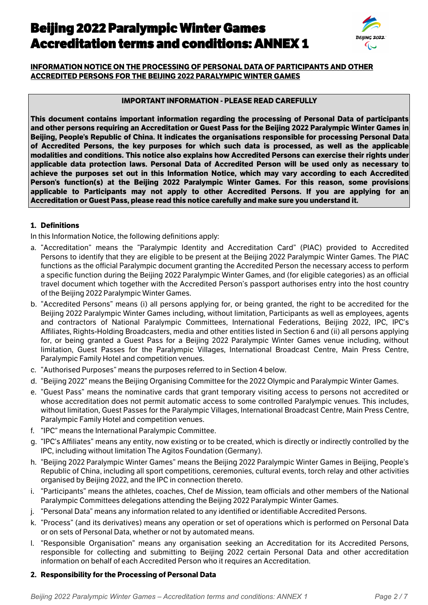# Beijing 2022 Paralympic Winter Games Accreditation terms and conditions: ANNEX 1



## **INFORMATION NOTICE ON THE PROCESSING OF PERSONAL DATA OF PARTICIPANTS AND OTHER ACCREDITED PERSONS FOR THE BEIJING 2022 PARALYMPIC WINTER GAMES**

#### **IMPORTANT INFORMATION - PLEASE READ CAREFULLY**

**This document contains important information regarding the processing of Personal Data of participants** and other persons requiring an Accreditation or Guest Pass for the Beijing 2022 Paralympic Winter Games in **Beijing, People's Republic of China. It indicates the organisations responsible for processing Personal Data of Accredited Persons, the key purposes for which such data is processed, as well as the applicable modalities and conditions. This notice also explains how Accredited Persons can exercise their rights under applicable data protection laws. Personal Data of Accredited Person will be used only as necessary to achieve the purposes set out in this Information Notice, which may vary according to each Accredited Person's function(s) at the Beijing 2022 Paralympic Winter Games. For this reason, some provisions applicable to Participants may not apply to other Accredited Persons. If you are applying for an Accreditation or Guest Pass, please read this notice carefully and make sure you understand it.**

#### **1. Definitions**

In this Information Notice, the following definitions apply:

- a. "Accreditation" means the "Paralympic Identity and Accreditation Card" (PIAC) provided to Accredited Persons to identify that they are eligible to be present at the Beijing 2022 Paralympic Winter Games. The PIAC functions as the official Paralympic document granting the Accredited Person the necessary access to perform a specific function during the Beijing 2022 Paralympic Winter Games, and (for eligible categories) as an official travel document which together with the Accredited Person's passport authorises entry into the host country of the Beijing 2022 Paralympic Winter Games.
- b. "Accredited Persons"means (i) all persons applying for, or being granted, the right to be accredited for the Beijing 2022 Paralympic Winter Games including, without limitation, Participants as well as employees, agents and contractors of National Paralympic Committees, International Federations, Beijing 2022, IPC, IPC's Affiliates, Rights-Holding Broadcasters, media and other entities listed in Section 6 and (ii) all persons applying for, or being granted a Guest Pass for a Beijing 2022 Paralympic Winter Games venue including, without limitation, Guest Passes for the Paralympic Villages, International Broadcast Centre, Main Press Centre, Paralympic Family Hotel and competition venues.
- c. "Authorised Purposes" means the purposes referred to in Section 4 below.
- d. "Beijing 2022" means the Beijing Organising Committee for the 2022 Olympic and Paralympic Winter Games.
- e. "Guest Pass" means the nominative cards that grant temporary visiting access to persons not accredited or whose accreditation does not permit automatic access to some controlled Paralympic venues. This includes, without limitation, Guest Passes for the Paralympic Villages, International Broadcast Centre, Main Press Centre, Paralympic Family Hotel and competition venues.
- f. "IPC" means the International Paralympic Committee.
- g. "IPC's Affiliates" means any entity, now existing or to be created, which is directly or indirectly controlled by the IPC, including without limitation The Agitos Foundation (Germany).
- h. "Beijing 2022 Paralympic Winter Games" means the Beijing 2022 Paralympic Winter Games in Beijing, People's Republic of China, including all sport competitions, ceremonies, cultural events, torch relay and other activities organised by Beijing 2022, and the IPC in connection thereto.
- i. "Participants" means the athletes, coaches, Chef de Mission, team officials and other members of the National Paralympic Committees delegations attending the Beijing 2022 Paralympic Winter Games.
- j. "Personal Data" means any information related to anyidentified or identifiable Accredited Persons.
- k. "Process" (and its derivatives) means any operation or set of operations which is performed on Personal Data or on sets of Personal Data, whether or not by automated means.
- l. "Responsible Organisation" means any organisation seeking an Accreditation for its Accredited Persons, responsible for collecting and submitting to Beijing 2022 certain Personal Data and other accreditation information on behalf of each Accredited Person who it requires an Accreditation.

## **2. Responsibility for the Processing of Personal Data**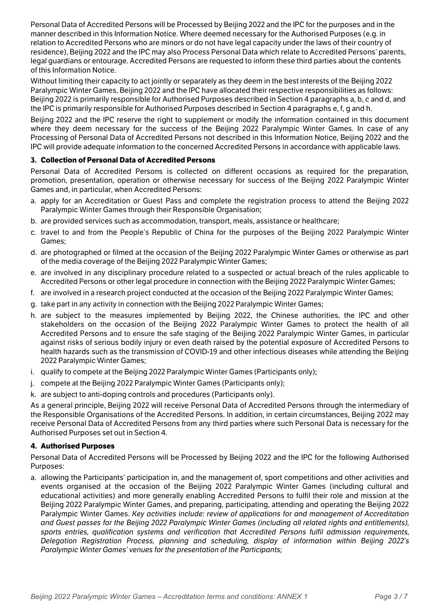Personal Data of Accredited Persons will be Processed by Beijing 2022 and the IPC for the purposes and in the manner described in this Information Notice. Where deemed necessary for the Authorised Purposes (e.g. in relation to Accredited Persons who are minors or do not have legal capacity under the laws of their country of residence), Beijing 2022 and the IPC may also Process Personal Data which relate to Accredited Persons' parents, legal guardians or entourage. Accredited Persons are requested to inform these third parties about the contents of this Information Notice.

Without limiting their capacity to act jointly or separately as they deem in the best interests of the Beijing 2022 Paralympic Winter Games, Beijing 2022 and the IPC have allocated their respective responsibilities as follows: Beijing 2022 is primarily responsible for Authorised Purposes described in Section 4 paragraphs a, b, c and d, and the IPC is primarily responsible for Authorised Purposes described in Section 4 paragraphs e, f, g and h.

Beijing 2022 and the IPC reserve the right to supplement or modify the information contained in this document where they deem necessary for the success of the Beijing 2022 Paralympic Winter Games. In case of any Processing of Personal Data of Accredited Persons not described in this Information Notice, Beijing 2022 and the IPC will provide adequate information to the concerned Accredited Persons in accordance with applicable laws.

## **3. Collection of Personal Data of Accredited Persons**

Personal Data of Accredited Persons is collected on different occasions as required for the preparation, presentation, operation or otherwise necessary for success of the Beijing 2022 Paralympic Winter Games and, in particular, when Accredited Persons:

- a. apply for an Accreditation or Guest Pass and complete the registration process to attend the Beijing 2022 Paralympic Winter Games through their Responsible Organisation;
- b. are provided services such as accommodation, transport, meals, assistance or healthcare;
- c. travel to and from the People's Republic of China for the purposes of the Beijing 2022 Paralympic Winter Games;
- d. are photographed or filmed at the occasion of the Beijing 2022 Paralympic Winter Games or otherwise as part of the media coverage of the Beijing 2022 Paralympic Winter Games;
- e. are involved in any disciplinary procedure related to a suspected or actual breach of the rules applicable to Accredited Persons or other legal procedure in connection with the Beijing 2022 Paralympic Winter Games;
- f. are involved in a research project conducted at the occasion of the Beijing 2022 Paralympic Winter Games;
- g. take part in any activity in connection with the Beijing 2022 Paralympic Winter Games;
- h. are subject to the measures implemented by Beijing 2022, the Chinese authorities, the IPC and other stakeholders on the occasion of the Beijing 2022 Paralympic Winter Games to protect the health of all Accredited Persons and to ensure the safe staging of the Beijing 2022 Paralympic Winter Games, in particular against risks of serious bodily injury or even death raised by the potential exposure of Accredited Persons to health hazards such as the transmission of COVID-19 and other infectious diseases while attending the Beijing 2022 Paralympic Winter Games;
- i. qualify to compete at the Beijing 2022 Paralympic Winter Games (Participants only);
- j. compete at the Beijing 2022 Paralympic Winter Games (Participants only);
- k. are subject to anti-doping controls and procedures (Participants only).

As a general principle, Beijing 2022 will receive Personal Data of Accredited Persons through the intermediary of the Responsible Organisations of the Accredited Persons. In addition, in certain circumstances, Beijing 2022 may receive Personal Data of Accredited Persons from any third parties where such Personal Data is necessary for the Authorised Purposes set out in Section 4.

#### **4. Authorised Purposes**

Personal Data of Accredited Persons will be Processed by Beijing 2022 and the IPC for the following Authorised Purposes:

a. allowing the Participants' participation in, and the management of, sport competitions and other activities and events organised at the occasion of the Beijing 2022 Paralympic Winter Games (including cultural and educational activities) and more generally enabling Accredited Persons to fulfil their role and mission at the Beijing 2022 Paralympic Winter Games, and preparing, participating, attending and operating the Beijing 2022 Paralympic Winter Games. *Key activities include: review of applications for and management of Accreditation and Guest passes for the Beijing 2022 Paralympic Winter Games (including all related rights and entitlements), sports entries, qualification systems and verification that Accredited Persons fulfil admission requirements, Delegation Registration Process, planning and scheduling, display of information within Beijing 2022's Paralympic Winter Games' venues for the presentation of the Participants;*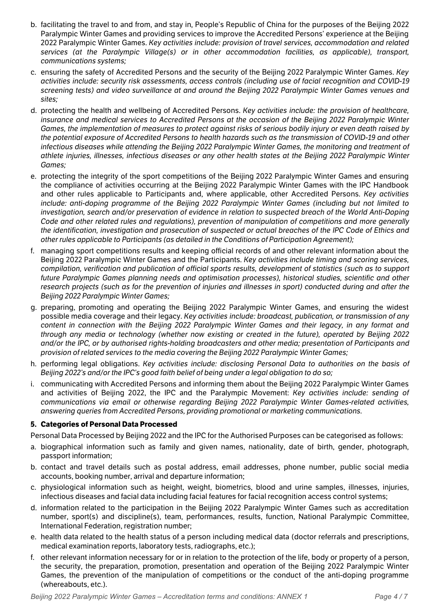- b. facilitating the travel to and from, and stay in, People's Republic of China for the purposes of the Beijing 2022 Paralympic Winter Games and providing services to improve the Accredited Persons' experience at the Beijing 2022 Paralympic Winter Games. *Key activities include: provision of travel services, accommodation and related services (at the Paralympic Village(s) or in other accommodation facilities, as applicable), transport, communications systems;*
- c. ensuring the safety of Accredited Persons and the security of the Beijing 2022 Paralympic Winter Games. *Key activities include: security risk assessments, access controls (including use of facial recognition and COVID-19 screening tests) and video surveillance at and around the Beijing 2022 Paralympic Winter Games venues and sites;*
- d. protecting the health and wellbeing ofAccredited Persons. *Key activities include: the provision of healthcare, insurance and medical services to Accredited Persons at the occasion of the Beijing 2022 Paralympic Winter* Games, the implementation of measures to protect against risks of serious bodily injury or even death raised by the potential exposure of Accredited Persons to health hazards such as the transmission of COVID-19 and other *infectious diseases while attending the Beijing 2022 Paralympic Winter Games, the monitoring and treatment of* athlete injuries, illnesses, infectious diseases or any other health states at the Beijing 2022 Paralympic Winter *Games;*
- e. protecting the integrity of the sport competitions of the Beijing 2022 Paralympic Winter Games and ensuring the compliance of activities occurring at the Beijing 2022 Paralympic Winter Games with the IPC Handbook and other rules applicable to Participants and, where applicable, other Accredited Persons. *Key activities include: anti-doping programme of the Beijing 2022 Paralympic Winter Games (including but not limited to investigation, search and/or preservation of evidence in relation to suspected breach of the World Anti-Doping Code and other related rules and regulations), prevention of manipulation of competitions and more generally* the identification, investigation and prosecution of suspected or actual breaches of the IPC Code of Ethics and *other rules applicable to Participants (as detailed in the Conditions of Participation Agreement);*
- f. managing sport competitions results and keeping official records of and other relevant information about the Beijing 2022 Paralympic Winter Games and the Participants. *Key activities include timing and scoring services, compilation, verification and publication of official sports results, development of statistics (such as to support future Paralympic Games planning needs and optimisation processes), historical studies, scientific and other* research projects (such as for the prevention of injuries and illnesses in sport) conducted during and after the *Beijing 2022 Paralympic Winter Games;*
- g. preparing, promoting and operating the Beijing 2022 Paralympic Winter Games, and ensuring the widest possible media coverage and their legacy. *Key activities include: broadcast, publication, or transmission of any content in connection with the Beijing 2022 Paralympic Winter Games and their legacy, in any format and through any media or technology (whether now existing or created in the future), operated by Beijing 2022 and/or the IPC, or by authorised rights-holding broadcasters and other media; presentation of Participants and provision of related services to the media covering the Beijing 2022 Paralympic Winter Games;*
- h. performing legal obligations. *Key activities include: disclosing Personal Data to authorities on the basis of Beijing 2022's and/or the IPC's good faith belief of being under a legal obligation to do so;*
- i. communicating with Accredited Persons and informing them about the Beijing 2022 Paralympic Winter Games and activities ofBeijing 2022, the IPC and the Paralympic Movement:*Key activities include: sending of communications via email or otherwise regarding Beijing 2022 Paralympic Winter Games-related activities, answering queries from Accredited Persons, providing promotional or marketing communications.*

## **5. Categories of Personal Data Processed**

Personal Data Processed by Beijing 2022 and the IPC for the Authorised Purposes can be categorised as follows:

- a. biographical information such as family and given names, nationality, date of birth, gender, photograph, passport information;
- b. contact and travel details such as postal address, email addresses, phone number, public social media accounts, booking number, arrival and departure information;
- c. physiological information such as height, weight, biometrics, blood and urine samples, illnesses, injuries, infectious diseases and facial data including facial features for facial recognition access control systems;
- d. information related to the participation in the Beijing 2022 Paralympic Winter Games such as accreditation number, sport(s) and discipline(s), team, performances, results, function, National Paralympic Committee, International Federation, registration number;
- e. health data related to the health status of a person including medical data (doctor referrals and prescriptions, medical examination reports, laboratory tests, radiographs, etc.);
- f. other relevant information necessary for or in relation to the protection of the life, body or property of a person, the security, the preparation, promotion, presentation and operation of the Beijing 2022 Paralympic Winter Games, the prevention of the manipulation of competitions or the conduct of the anti-doping programme (whereabouts, etc.).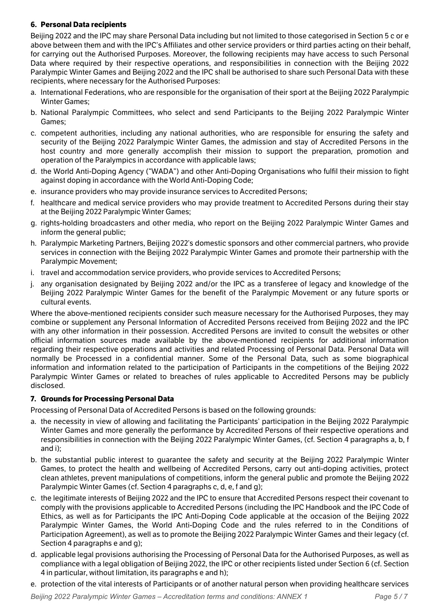## **6. Personal Data recipients**

Beijing 2022 and the IPC may share Personal Data including but not limited to those categorised in Section 5 c or e above between them and with the IPC's Affiliates and other service providers or third parties acting on their behalf, for carrying out the Authorised Purposes. Moreover, the following recipients may have access to such Personal Data where required by their respective operations, and responsibilities in connection with the Beijing 2022 Paralympic Winter Games and Beijing 2022 and the IPC shall be authorised to share such Personal Data with these recipients, where necessary for the Authorised Purposes:

- a. International Federations, who are responsible for the organisation of their sport at the Beijing 2022 Paralympic Winter Games;
- b. National Paralympic Committees, who select and send Participants to the Beijing 2022 Paralympic Winter Games;
- c. competent authorities, including any national authorities, who are responsible for ensuring the safety and security of the Beijing 2022 Paralympic Winter Games, the admission and stay of Accredited Persons in the host country and more generally accomplish their mission to support the preparation, promotion and operation of the Paralympics in accordance with applicable laws;
- d. the World Anti-Doping Agency ("WADA") and other Anti-Doping Organisations who fulfil their mission to fight against doping in accordance with the World Anti-Doping Code;
- e. insurance providers who may provide insurance services to Accredited Persons;
- f. healthcare and medical service providers who may provide treatment to Accredited Persons during their stay at the Beijing 2022 Paralympic Winter Games;
- g. rights-holding broadcasters and other media, who report on the Beijing 2022 Paralympic Winter Games and inform the general public;
- h. Paralympic Marketing Partners, Beijing 2022's domestic sponsors and other commercial partners, who provide services in connection with the Beijing 2022 Paralympic Winter Games and promote their partnership with the Paralympic Movement;
- i. travel and accommodation service providers, who provide services to Accredited Persons;
- j. any organisation designated by Beijing 2022 and/orthe IPC as a transferee of legacy and knowledge of the Beijing 2022 Paralympic Winter Games for the benefit of the Paralympic Movement or any future sports or cultural events.

Where the above-mentioned recipients consider such measure necessary for the Authorised Purposes, they may combine or supplement any Personal Information of Accredited Persons received from Beijing 2022 and the IPC with any other information in their possession. Accredited Persons are invited to consult the websites or other official information sources made available by the above-mentioned recipients for additional information regarding their respective operations and activities and related Processing of Personal Data. Personal Data will normally be Processed in a confidential manner. Some of the Personal Data, such as some biographical information and information related to the participation of Participants in the competitions of the Beijing 2022 Paralympic Winter Games or related to breaches of rules applicable to Accredited Persons may be publicly disclosed.

## **7. Grounds for Processing Personal Data**

Processing of Personal Data of Accredited Persons is based on the following grounds:

- a. the necessity in view of allowing and facilitating the Participants' participation in the Beijing 2022 Paralympic Winter Games and more generally the performance by Accredited Persons of their respective operations and responsibilities in connection with the Beijing 2022 Paralympic Winter Games, (cf. Section 4 paragraphs a, b, f and i);
- b. the substantial public interest to guarantee the safety and security at the Beijing 2022 Paralympic Winter Games, to protect the health and wellbeing of Accredited Persons, carry out anti-doping activities, protect clean athletes, prevent manipulations of competitions, inform the general public and promote the Beijing 2022 Paralympic Winter Games (cf. Section 4 paragraphs c, d, e, f and g);
- c. the legitimate interests of Beijing 2022 and the IPC to ensure that Accredited Persons respect their covenant to comply with the provisions applicable to Accredited Persons (including the IPC Handbook and the IPC Code of Ethics, as well as for Participants the IPC Anti-Doping Code applicable at the occasion of the Beijing 2022 Paralympic Winter Games, the World Anti-Doping Code and the rules referred to in the Conditions of Participation Agreement), as well as to promote the Beijing 2022 Paralympic Winter Games and their legacy (cf. Section 4 paragraphs e and g);
- d. applicable legal provisions authorising the Processing of Personal Data for the Authorised Purposes, as well as compliance with a legal obligation of Beijing 2022, the IPC or other recipients listed under Section 6 (cf. Section 4 in particular, without limitation, its paragraphs e and h);
- e. protection of the vital interests of Participants or of another natural person when providing healthcare services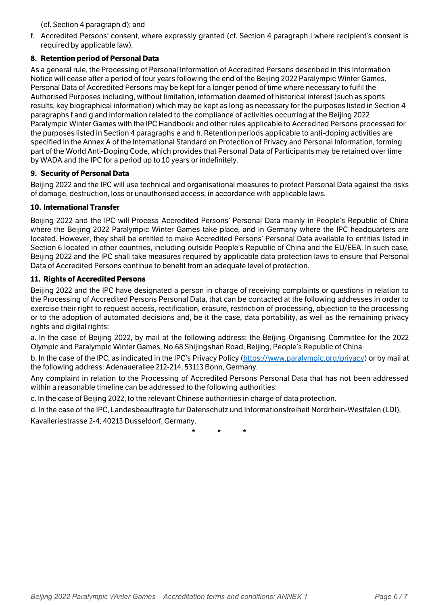## (cf. Section 4 paragraph d); and

f. Accredited Persons' consent, where expressly granted (cf. Section 4 paragraph i where recipient's consent is required by applicable law).

## **8. Retention period of Personal Data**

As a general rule, the Processing of Personal Information of Accredited Persons described in this Information Notice will cease after a period of four years following the end of the Beijing 2022 Paralympic Winter Games. Personal Data of Accredited Persons may be keptfor a longer period of time where necessary to fulfil the Authorised Purposes including, without limitation, information deemed of historical interest (such as sports results, key biographical information) which may be kept as long as necessary for the purposes listed in Section 4 paragraphs f and g and information related to the compliance of activities occurring at the Beijing 2022 Paralympic Winter Games with the IPC Handbook and other rules applicable to Accredited Persons processed for the purposes listed in Section 4 paragraphs e and h. Retention periods applicable to anti-doping activities are specified in the Annex A of the International Standard on Protection of Privacy and Personal Information, forming part of the World Anti-Doping Code, which provides that Personal Data of Participants may be retained over time by WADA and the IPC for a period up to 10 years or indefinitely.

## **9. Security of Personal Data**

Beijing 2022 and the IPC will use technical and organisational measures to protect Personal Data against the risks of damage, destruction, loss or unauthorised access, in accordance with applicable laws.

## **10. International Transfer**

Beijing 2022 and the IPC will Process Accredited Persons' Personal Data mainly in People's Republic of China where the Beijing 2022 Paralympic Winter Games take place, and in Germany where the IPC headquarters are located. However, they shall be entitled to make Accredited Persons' Personal Data available to entities listed in Section 6 located in other countries, including outside People's Republic of China and the EU/EEA. In such case, Beijing 2022 and the IPC shall take measures required by applicable data protection laws to ensure that Personal Data of Accredited Persons continue to benefit from an adequate level of protection.

## **11. Rights of Accredited Persons**

Beijing 2022 and the IPC have designated a person in charge of receiving complaints or questions in relation to the Processing of Accredited Persons Personal Data, that can be contacted at the following addresses in order to exercise their right to request access, rectification, erasure, restriction of processing, objection to the processing or to the adoption of automated decisions and, be it the case, data portability, as well as the remaining privacy rights and digital rights:

a. In the case of Beijing 2022, by mail at the following address: the Beijing Organising Committee for the 2022 Olympic and Paralympic Winter Games, No.68 Shijingshan Road, Beijing, People's Republic of China.

b. In the case of the IPC, as indicated in the IPC's Privacy Policy ([https://www.paralympic.org/privacy\)](https://www.paralympic.org/privacy) or by mail at the following address: Adenauerallee 212-214, 53113 Bonn, Germany.

Any complaint in relation to the Processing of Accredited Persons Personal Data that has not been addressed within a reasonable timeline can be addressed to the following authorities:

c. In the case of Beijing 2022, to the relevant Chinese authorities in charge of data protection.

d. In the case of the IPC, Landesbeauftragte fur Datenschutz und Informationsfreiheit Nordrhein-Westfalen (LDI), Kavalleriestrasse 2-4, 40213 Dusseldorf, Germany.

**\* \* \***